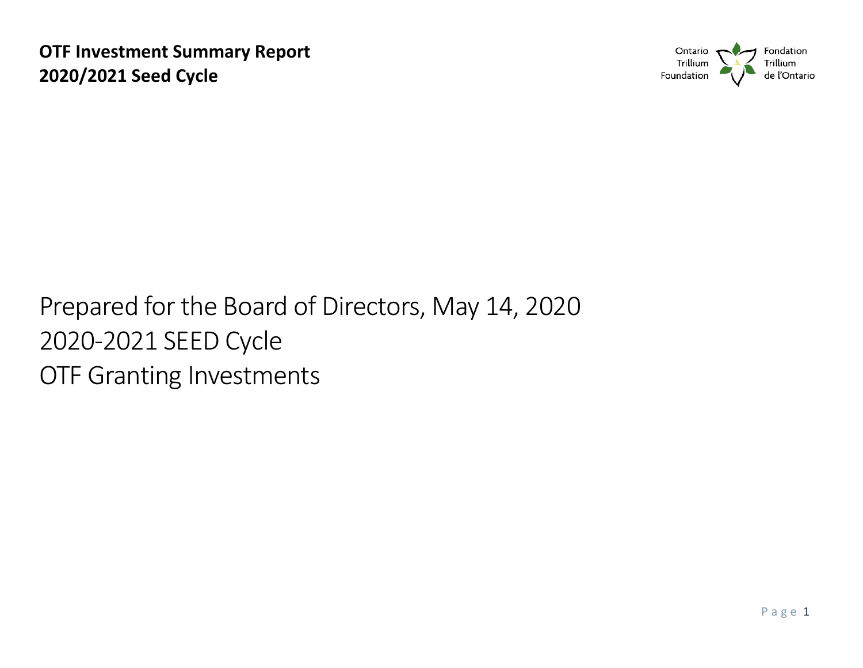

# Prepared for the Board of Directors, May 14, 2020 2020-2021 SEED Cycle OTF Granting Investments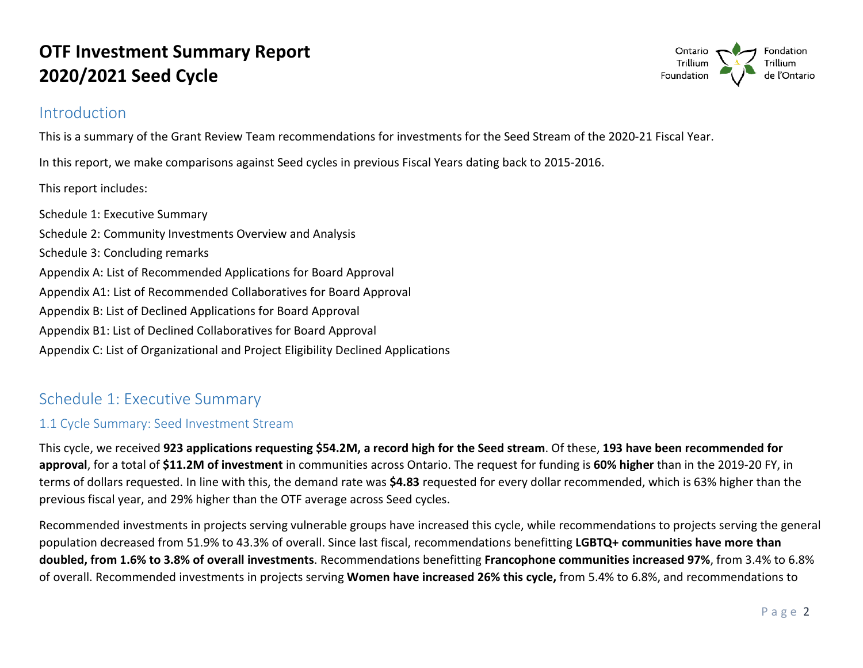### Introduction



This is a summary of the Grant Review Team recommendations for investments for the Seed Stream of the 2020-21 Fiscal Year.

In this report, we make comparisons against Seed cycles in previous Fiscal Years dating back to 2015-2016.

This report includes:

Schedule 1: Executive Summary Schedule 2: Community Investments Overview and Analysis Schedule 3: Concluding remarks Appendix A: List of Recommended Applications for Board Approval Appendix A1: List of Recommended Collaboratives for Board Approval Appendix B: List of Declined Applications for Board Approval Appendix B1: List of Declined Collaboratives for Board Approval Appendix C: List of Organizational and Project Eligibility Declined Applications

### Schedule 1: Executive Summary

#### 1.1 Cycle Summary: Seed Investment Stream

This cycle, we received **923 applications requesting \$54.2M, a record high for the Seed stream**. Of these, **193 have been recommended for approval**, for a total of **\$11.2M of investment** in communities across Ontario. The request for funding is **60% higher** than in the 2019-20 FY, in terms of dollars requested. In line with this, the demand rate was **\$4.83** requested for every dollar recommended, which is 63% higher than the previous fiscal year, and 29% higher than the OTF average across Seed cycles.

 Recommended investments in projects serving vulnerable groups have increased this cycle, while recommendations to projects serving the general of overall. Recommended investments in projects serving **Women have increased 26% this cycle,** from 5.4% to 6.8%, and recommendations to population decreased from 51.9% to 43.3% of overall. Since last fiscal, recommendations benefitting **LGBTQ+ communities have more than doubled, from 1.6% to 3.8% of overall investments**. Recommendations benefitting **Francophone communities increased 97%**, from 3.4% to 6.8%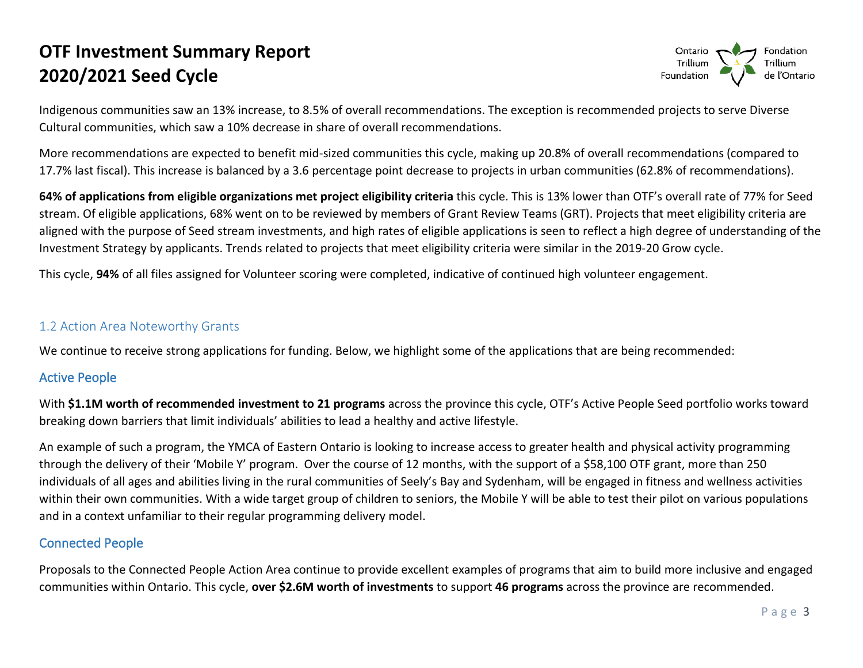

Indigenous communities saw an 13% increase, to 8.5% of overall recommendations. The exception is recommended projects to serve Diverse Cultural communities, which saw a 10% decrease in share of overall recommendations.

 More recommendations are expected to benefit mid-sized communities this cycle, making up 20.8% of overall recommendations (compared to 17.7% last fiscal). This increase is balanced by a 3.6 percentage point decrease to projects in urban communities (62.8% of recommendations).

 Investment Strategy by applicants. Trends related to projects that meet eligibility criteria were similar in the 2019-20 Grow cycle. **64% of applications from eligible organizations met project eligibility criteria** this cycle. This is 13% lower than OTF's overall rate of 77% for Seed stream. Of eligible applications, 68% went on to be reviewed by members of Grant Review Teams (GRT). Projects that meet eligibility criteria are aligned with the purpose of Seed stream investments, and high rates of eligible applications is seen to reflect a high degree of understanding of the

This cycle, **94%** of all files assigned for Volunteer scoring were completed, indicative of continued high volunteer engagement.

#### 1.2 Action Area Noteworthy Grants

We continue to receive strong applications for funding. Below, we highlight some of the applications that are being recommended:

#### Active People

 With **\$1.1M worth of recommended investment to 21 programs** across the province this cycle, OTF's Active People Seed portfolio works toward breaking down barriers that limit individuals' abilities to lead a healthy and active lifestyle.

 An example of such a program, the YMCA of Eastern Ontario is looking to increase access to greater health and physical activity programming through the delivery of their 'Mobile Y' program. Over the course of 12 months, with the support of a \$58,100 OTF grant, more than 250 individuals of all ages and abilities living in the rural communities of Seely's Bay and Sydenham, will be engaged in fitness and wellness activities within their own communities. With a wide target group of children to seniors, the Mobile Y will be able to test their pilot on various populations and in a context unfamiliar to their regular programming delivery model.

#### Connected People

 Proposals to the Connected People Action Area continue to provide excellent examples of programs that aim to build more inclusive and engaged communities within Ontario. This cycle, **over \$2.6M worth of investments** to support **46 programs** across the province are recommended.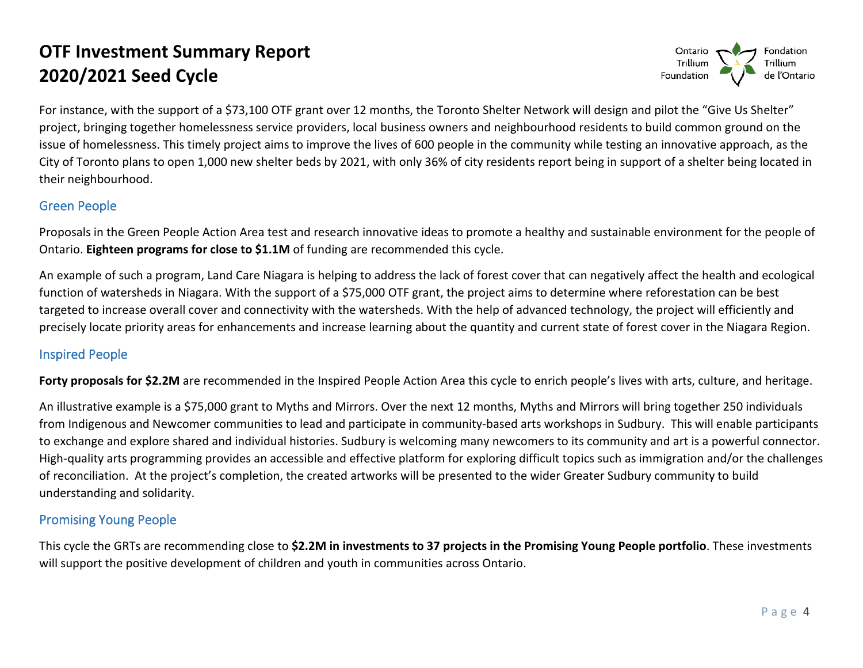

 For instance, with the support of a \$73,100 OTF grant over 12 months, the Toronto Shelter Network will design and pilot the "Give Us Shelter" project, bringing together homelessness service providers, local business owners and neighbourhood residents to build common ground on the issue of homelessness. This timely project aims to improve the lives of 600 people in the community while testing an innovative approach, as the City of Toronto plans to open 1,000 new shelter beds by 2021, with only 36% of city residents report being in support of a shelter being located in their neighbourhood.

#### Green People

 Ontario. **Eighteen programs for close to \$1.1M** of funding are recommended this cycle. Proposals in the Green People Action Area test and research innovative ideas to promote a healthy and sustainable environment for the people of

 function of watersheds in Niagara. With the support of a \$75,000 OTF grant, the project aims to determine where reforestation can be best targeted to increase overall cover and connectivity with the watersheds. With the help of advanced technology, the project will efficiently and precisely locate priority areas for enhancements and increase learning about the quantity and current state of forest cover in the Niagara Region. An example of such a program, Land Care Niagara is helping to address the lack of forest cover that can negatively affect the health and ecological

#### Inspired People

**Forty proposals for \$2.2M** are recommended in the Inspired People Action Area this cycle to enrich people's lives with arts, culture, and heritage.

 An illustrative example is a \$75,000 grant to Myths and Mirrors. Over the next 12 months, Myths and Mirrors will bring together 250 individuals from Indigenous and Newcomer communities to lead and participate in community-based arts workshops in Sudbury. This will enable participants of reconciliation. At the project's completion, the created artworks will be presented to the wider Greater Sudbury community to build to exchange and explore shared and individual histories. Sudbury is welcoming many newcomers to its community and art is a powerful connector. High-quality arts programming provides an accessible and effective platform for exploring difficult topics such as immigration and/or the challenges understanding and solidarity.

#### Promising Young People

 This cycle the GRTs are recommending close to **\$2.2M in investments to 37 projects in the Promising Young People portfolio**. These investments will support the positive development of children and youth in communities across Ontario.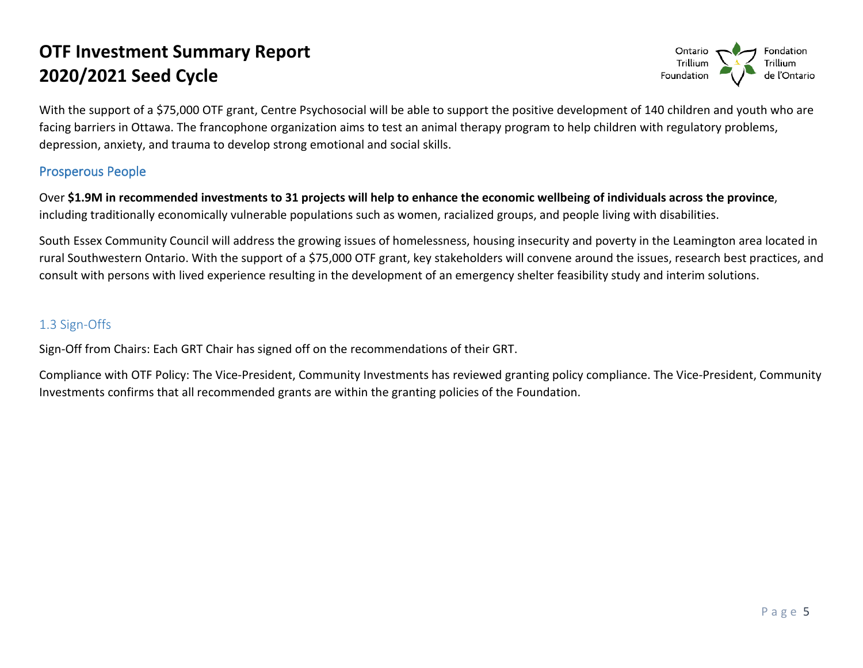

With the support of a \$75,000 OTF grant, Centre Psychosocial will be able to support the positive development of 140 children and youth who are facing barriers in Ottawa. The francophone organization aims to test an animal therapy program to help children with regulatory problems, depression, anxiety, and trauma to develop strong emotional and social skills.

#### Prosperous People

Over **\$1.9M in recommended investments to 31 projects will help to enhance the economic wellbeing of individuals across the province**, including traditionally economically vulnerable populations such as women, racialized groups, and people living with disabilities.

 consult with persons with lived experience resulting in the development of an emergency shelter feasibility study and interim solutions. South Essex Community Council will address the growing issues of homelessness, housing insecurity and poverty in the Leamington area located in rural Southwestern Ontario. With the support of a \$75,000 OTF grant, key stakeholders will convene around the issues, research best practices, and

#### 1.3 Sign-Offs

Sign-Off from Chairs: Each GRT Chair has signed off on the recommendations of their GRT.

 Compliance with OTF Policy: The Vice-President, Community Investments has reviewed granting policy compliance. The Vice-President, Community Investments confirms that all recommended grants are within the granting policies of the Foundation. Investments confirms that all recommended grants are within the granting policies of the Foundation.<br> $P a g e = 5$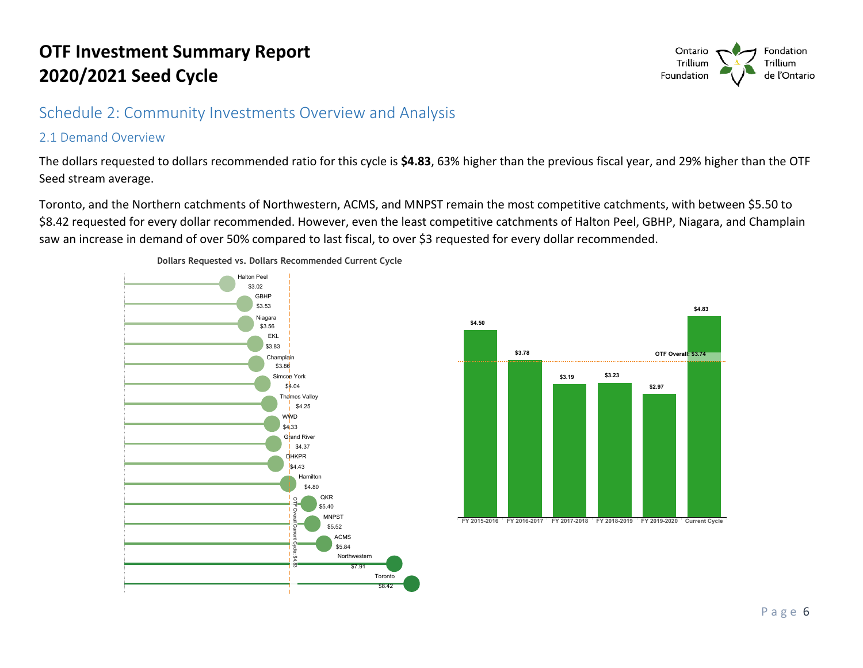### Schedule 2: Community Investments Overview and Analysis

#### 2.1 Demand Overview

The dollars requested to dollars recommended ratio for this cycle is **\$4.83**, 63% higher than the previous fiscal year, and 29% higher than the OTF Seed stream average.

Toronto, and the Northern catchments of Northwestern, ACMS, and MNPST remain the most competitive catchments, with between \$5.50 to \$8.42 requested for every dollar recommended. However, even the least competitive catchments of Halton Peel, GBHP, Niagara, and Champlain saw an increase in demand of over 50% compared to last fiscal, to over \$3 requested for every dollar recommended.





**Dollars Requested vs. Dollars Recommended Current Cycle** 

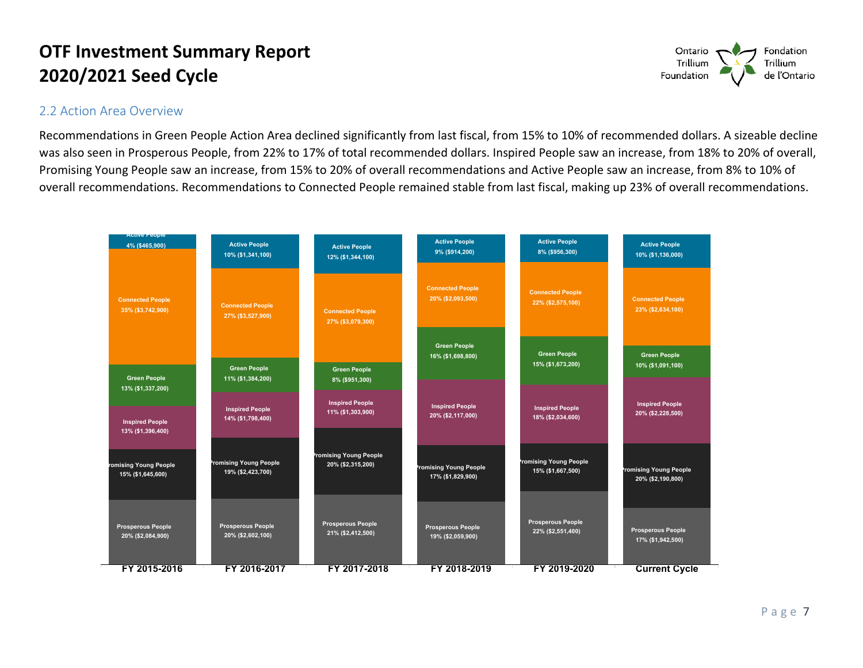#### 2.2 Action Area Overview

 Recommendations in Green People Action Area declined significantly from last fiscal, from 15% to 10% of recommended dollars. A sizeable decline was also seen in Prosperous People, from 22% to 17% of total recommended dollars. Inspired People saw an increase, from 18% to 20% of overall, Promising Young People saw an increase, from 15% to 20% of overall recommendations and Active People saw an increase, from 8% to 10% of overall recommendations. Recommendations to Connected People remained stable from last fiscal, making up 23% of overall recommendations.

| <b>ACtive People</b>                          |                                                                     |                                                                     |                                                    |                                                    |                                              |
|-----------------------------------------------|---------------------------------------------------------------------|---------------------------------------------------------------------|----------------------------------------------------|----------------------------------------------------|----------------------------------------------|
| 4% (\$465,900)                                | <b>Active People</b><br>10% (\$1,341,100)                           | <b>Active People</b><br>12% (\$1,344,100)                           | <b>Active People</b><br>9% (\$914,200)             | <b>Active People</b><br>8% (\$956,300)             | <b>Active People</b><br>10% (\$1,136,000)    |
| <b>Connected People</b><br>35% (\$3,742,900)  | <b>Connected People</b><br>27% (\$3,527,900)<br><b>Green People</b> | <b>Connected People</b><br>27% (\$3,079,300)<br><b>Green People</b> | <b>Connected People</b><br>20% (\$2,093,500)       | <b>Connected People</b><br>22% (\$2,575,100)       | <b>Connected People</b><br>23% (\$2,634,100) |
|                                               |                                                                     |                                                                     | <b>Green People</b><br>16% (\$1,698,800)           | <b>Green People</b><br>15% (\$1,673,200)           | <b>Green People</b><br>10% (\$1,091,100)     |
| <b>Green People</b><br>$13\%$ (\$1,337,200)   | 11% (\$1,384,200)                                                   | 8% (\$951,300)                                                      |                                                    |                                                    |                                              |
| <b>Inspired People</b><br>13% (\$1,396,400)   | <b>Inspired People</b><br>14% (\$1,798,400)                         | <b>Inspired People</b><br>11% (\$1,303,900)                         | <b>Inspired People</b><br>20% (\$2,117,000)        | <b>Inspired People</b><br>18% (\$2,034,600)        | <b>Inspired People</b><br>20% (\$2,228,500)  |
| romising Young People<br>15% (\$1,645,600)    | romising Young People<br>19% (\$2,423,700)                          | <b>Promising Young People</b><br>20% (\$2,315,200)                  | <b>Promising Young People</b><br>17% (\$1,829,900) | <b>Promising Young People</b><br>15% (\$1,667,500) | romising Young People<br>20% (\$2,190,800)   |
| <b>Prosperous People</b><br>20% (\$2,084,900) | <b>Prosperous People</b><br>20% (\$2,602,100)                       | <b>Prosperous People</b><br>21% (\$2,412,500)                       | Prosperous People<br>19% (\$2,059,900)             | Prosperous People<br>22% (\$2,551,400)             | Prosperous People<br>17% (\$1,942,500)       |
| FY 2015-2016                                  | FY 2016-2017                                                        | FY 2017-2018                                                        | FY 2018-2019                                       | FY 2019-2020                                       | <b>Current Cycle</b>                         |

Ontario<br>Trillium<br>Foundation Fondation<br>Trillium<br>de l'Ontario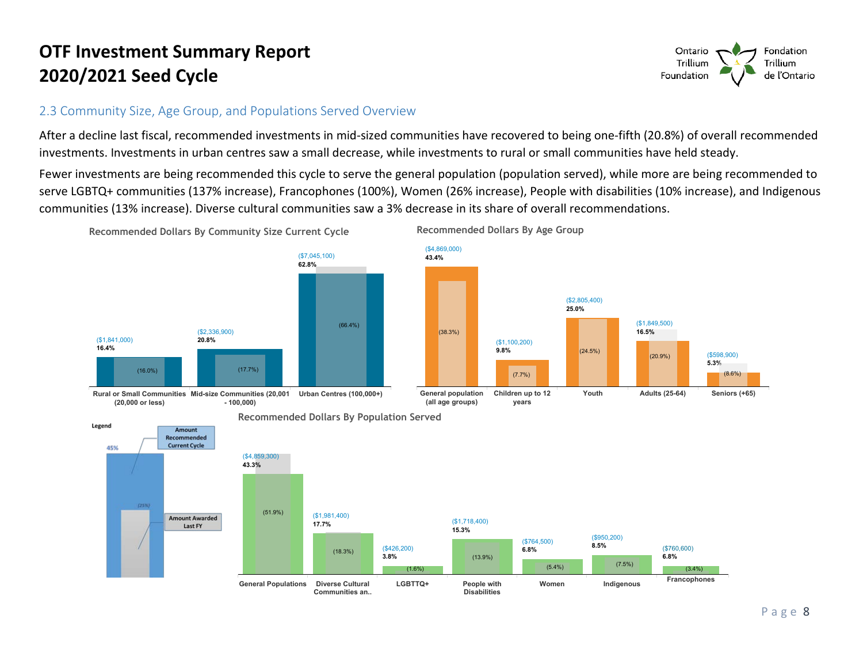#### 2.3 Community Size, Age Group, and Populations Served Overview

After a decline last fiscal, recommended investments in mid-sized communities have recovered to being one-fifth (20.8%) of overall recommended investments. Investments in urban centres saw a small decrease, while investments to rural or small communities have held steady.

Fewer investments are being recommended this cycle to serve the general population (population served), while more are being recommended to serve LGBTQ+ communities (137% increase), Francophones (100%), Women (26% increase), People with disabilities (10% increase), and Indigenous communities (13% increase). Diverse cultural communities saw a 3% decrease in its share of overall recommendations.







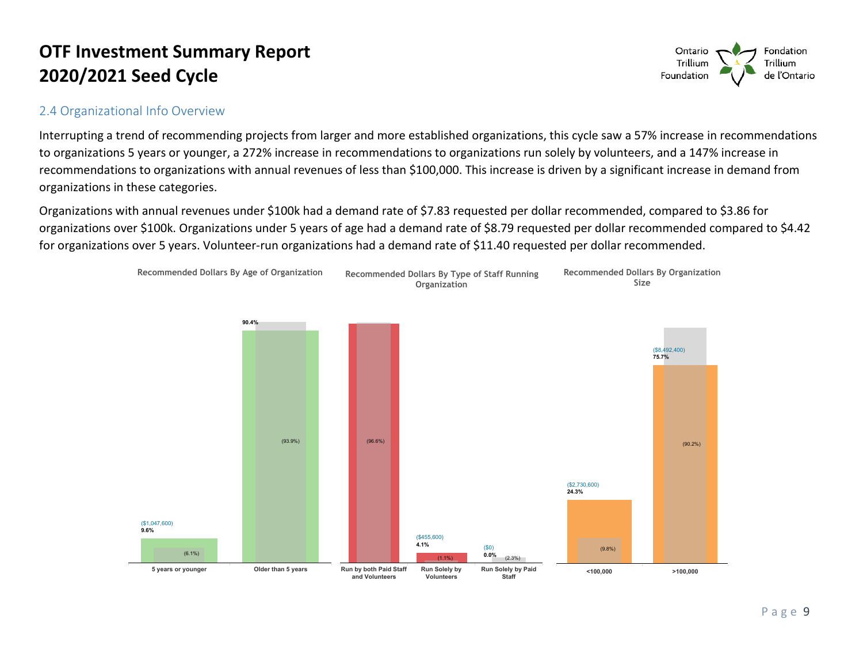#### 2.4 Organizational Info Overview

Interrupting a trend of recommending projects from larger and more established organizations, this cycle saw a 57% increase in recommendations to organizations 5 years or younger, a 272% increase in recommendations to organizations run solely by volunteers, and a 147% increase in recommendations to organizations with annual revenues of less than \$100,000. This increase is driven by a significant increase in demand from organizations in these categories.

Organizations with annual revenues under \$100k had a demand rate of \$7.83 requested per dollar recommended, compared to \$3.86 for organizations over \$100k. Organizations under 5 years of age had a demand rate of \$8.79 requested per dollar recommended compared to \$4.42 for organizations over 5 years. Volunteer-run organizations had a demand rate of \$11.40 requested per dollar recommended.